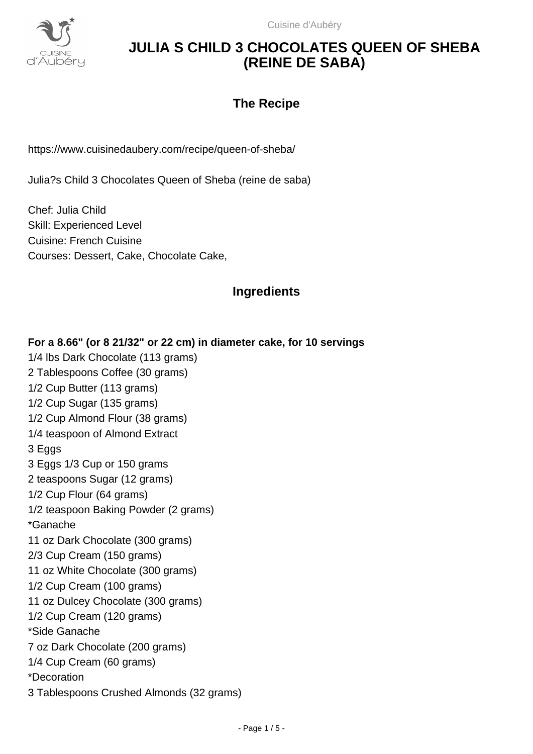

Cuisine d'Aubéry

# **JULIA S CHILD 3 CHOCOLATES QUEEN OF SHEBA (REINE DE SABA)**

## **The Recipe**

https://www.cuisinedaubery.com/recipe/queen-of-sheba/

Julia?s Child 3 Chocolates Queen of Sheba (reine de saba)

Chef: Julia Child Skill: Experienced Level Cuisine: French Cuisine Courses: Dessert, Cake, Chocolate Cake,

## **Ingredients**

**For a 8.66" (or 8 21/32" or 22 cm) in diameter cake, for 10 servings** 1/4 lbs Dark Chocolate (113 grams) 2 Tablespoons Coffee (30 grams) 1/2 Cup Butter (113 grams) 1/2 Cup Sugar (135 grams) 1/2 Cup Almond Flour (38 grams) 1/4 teaspoon of Almond Extract 3 Eggs 3 Eggs 1/3 Cup or 150 grams 2 teaspoons Sugar (12 grams) 1/2 Cup Flour (64 grams) 1/2 teaspoon Baking Powder (2 grams) \*Ganache 11 oz Dark Chocolate (300 grams) 2/3 Cup Cream (150 grams) 11 oz White Chocolate (300 grams) 1/2 Cup Cream (100 grams) 11 oz Dulcey Chocolate (300 grams) 1/2 Cup Cream (120 grams) \*Side Ganache 7 oz Dark Chocolate (200 grams) 1/4 Cup Cream (60 grams) \*Decoration 3 Tablespoons Crushed Almonds (32 grams)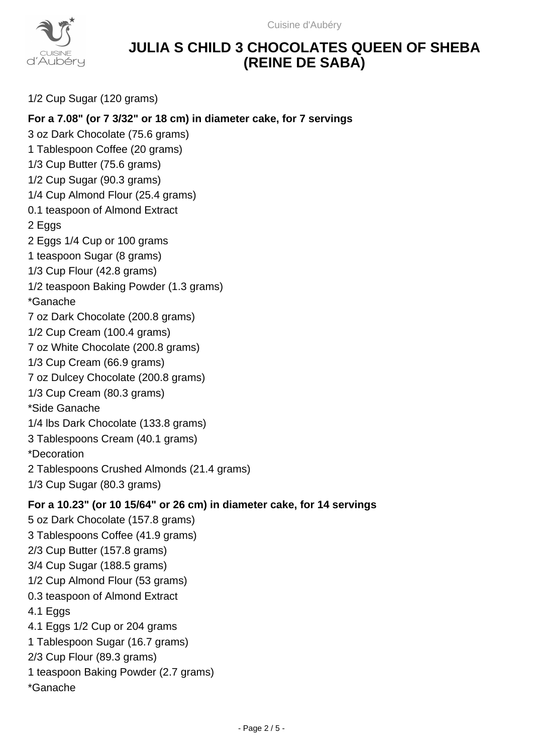

# **JULIA S CHILD 3 CHOCOLATES QUEEN OF SHEBA (REINE DE SABA)**

1/2 Cup Sugar (120 grams)

### **For a 7.08" (or 7 3/32" or 18 cm) in diameter cake, for 7 servings**

3 oz Dark Chocolate (75.6 grams) 1 Tablespoon Coffee (20 grams) 1/3 Cup Butter (75.6 grams) 1/2 Cup Sugar (90.3 grams) 1/4 Cup Almond Flour (25.4 grams) 0.1 teaspoon of Almond Extract 2 Eggs 2 Eggs 1/4 Cup or 100 grams 1 teaspoon Sugar (8 grams) 1/3 Cup Flour (42.8 grams) 1/2 teaspoon Baking Powder (1.3 grams) \*Ganache 7 oz Dark Chocolate (200.8 grams) 1/2 Cup Cream (100.4 grams) 7 oz White Chocolate (200.8 grams) 1/3 Cup Cream (66.9 grams) 7 oz Dulcey Chocolate (200.8 grams) 1/3 Cup Cream (80.3 grams) \*Side Ganache 1/4 lbs Dark Chocolate (133.8 grams) 3 Tablespoons Cream (40.1 grams) \*Decoration 2 Tablespoons Crushed Almonds (21.4 grams) 1/3 Cup Sugar (80.3 grams) **For a 10.23" (or 10 15/64" or 26 cm) in diameter cake, for 14 servings** 5 oz Dark Chocolate (157.8 grams) 3 Tablespoons Coffee (41.9 grams) 2/3 Cup Butter (157.8 grams) 3/4 Cup Sugar (188.5 grams) 1/2 Cup Almond Flour (53 grams) 0.3 teaspoon of Almond Extract 4.1 Eggs 4.1 Eggs 1/2 Cup or 204 grams 1 Tablespoon Sugar (16.7 grams) 2/3 Cup Flour (89.3 grams) 1 teaspoon Baking Powder (2.7 grams)

\*Ganache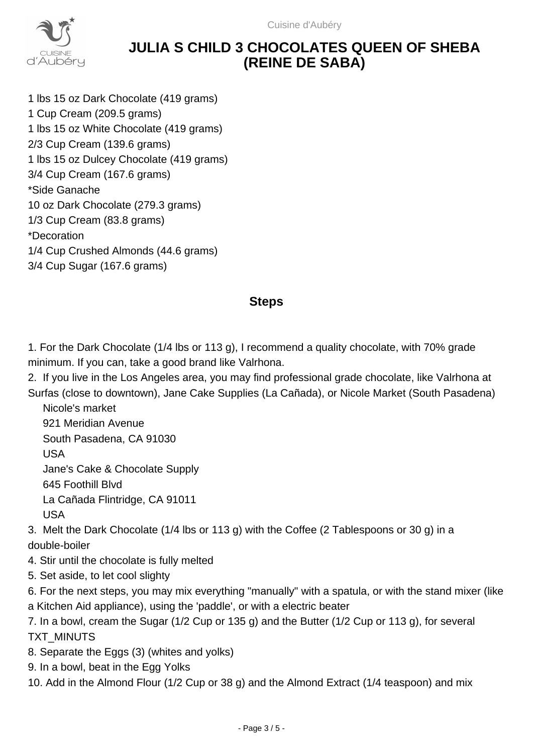Cuisine d'Aubéry



# **JULIA S CHILD 3 CHOCOLATES QUEEN OF SHEBA (REINE DE SABA)**

1 lbs 15 oz Dark Chocolate (419 grams) 1 Cup Cream (209.5 grams) 1 lbs 15 oz White Chocolate (419 grams) 2/3 Cup Cream (139.6 grams) 1 lbs 15 oz Dulcey Chocolate (419 grams) 3/4 Cup Cream (167.6 grams) \*Side Ganache 10 oz Dark Chocolate (279.3 grams) 1/3 Cup Cream (83.8 grams) \*Decoration 1/4 Cup Crushed Almonds (44.6 grams) 3/4 Cup Sugar (167.6 grams)

### **Steps**

1. For the Dark Chocolate (1/4 lbs or 113 g), I recommend a quality chocolate, with 70% grade minimum. If you can, take a good brand like Valrhona.

2. If you live in the Los Angeles area, you may find professional grade chocolate, like Valrhona at Surfas (close to downtown), Jane Cake Supplies (La Cañada), or Nicole Market (South Pasadena)

 Nicole's market 921 Meridian Avenue South Pasadena, CA 91030 USA Jane's Cake & Chocolate Supply 645 Foothill Blvd La Cañada Flintridge, CA 91011 USA

3. Melt the Dark Chocolate (1/4 lbs or 113 g) with the Coffee (2 Tablespoons or 30 g) in a double-boiler

- 4. Stir until the chocolate is fully melted
- 5. Set aside, to let cool slighty

6. For the next steps, you may mix everything "manually" with a spatula, or with the stand mixer (like a Kitchen Aid appliance), using the 'paddle', or with a electric beater

7. In a bowl, cream the Sugar (1/2 Cup or 135 g) and the Butter (1/2 Cup or 113 g), for several TXT\_MINUTS

- 8. Separate the Eggs (3) (whites and yolks)
- 9. In a bowl, beat in the Egg Yolks

10. Add in the Almond Flour (1/2 Cup or 38 g) and the Almond Extract (1/4 teaspoon) and mix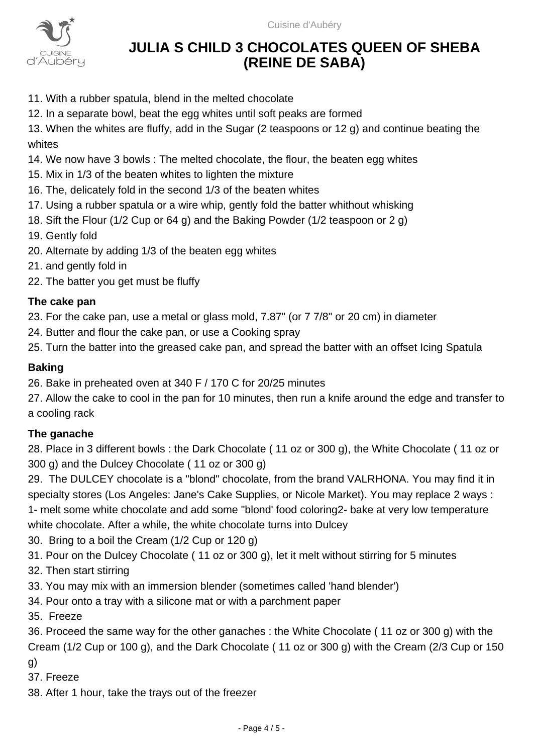

# **JULIA S CHILD 3 CHOCOLATES QUEEN OF SHEBA (REINE DE SABA)**

- 11. With a rubber spatula, blend in the melted chocolate
- 12. In a separate bowl, beat the egg whites until soft peaks are formed

13. When the whites are fluffy, add in the Sugar (2 teaspoons or 12 g) and continue beating the whites

- 14. We now have 3 bowls : The melted chocolate, the flour, the beaten egg whites
- 15. Mix in 1/3 of the beaten whites to lighten the mixture
- 16. The, delicately fold in the second 1/3 of the beaten whites
- 17. Using a rubber spatula or a wire whip, gently fold the batter whithout whisking
- 18. Sift the Flour (1/2 Cup or 64 g) and the Baking Powder (1/2 teaspoon or 2 g)
- 19. Gently fold
- 20. Alternate by adding 1/3 of the beaten egg whites
- 21. and gently fold in
- 22. The batter you get must be fluffy

#### **The cake pan**

23. For the cake pan, use a metal or glass mold, 7.87" (or 7 7/8" or 20 cm) in diameter

24. Butter and flour the cake pan, or use a Cooking spray

25. Turn the batter into the greased cake pan, and spread the batter with an offset Icing Spatula

#### **Baking**

26. Bake in preheated oven at 340 F / 170 C for 20/25 minutes

27. Allow the cake to cool in the pan for 10 minutes, then run a knife around the edge and transfer to a cooling rack

### **The ganache**

28. Place in 3 different bowls : the Dark Chocolate ( 11 oz or 300 g), the White Chocolate ( 11 oz or 300 g) and the Dulcey Chocolate ( 11 oz or 300 g)

29. The DULCEY chocolate is a "blond" chocolate, from the brand VALRHONA. You may find it in specialty stores (Los Angeles: Jane's Cake Supplies, or Nicole Market). You may replace 2 ways : 1- melt some white chocolate and add some "blond' food coloring2- bake at very low temperature white chocolate. After a while, the white chocolate turns into Dulcey

- 30. Bring to a boil the Cream (1/2 Cup or 120 g)
- 31. Pour on the Dulcey Chocolate ( 11 oz or 300 g), let it melt without stirring for 5 minutes
- 32. Then start stirring
- 33. You may mix with an immersion blender (sometimes called 'hand blender')
- 34. Pour onto a tray with a silicone mat or with a parchment paper
- 35. Freeze

36. Proceed the same way for the other ganaches : the White Chocolate ( 11 oz or 300 g) with the Cream (1/2 Cup or 100 g), and the Dark Chocolate ( 11 oz or 300 g) with the Cream (2/3 Cup or 150

g)

37. Freeze

38. After 1 hour, take the trays out of the freezer